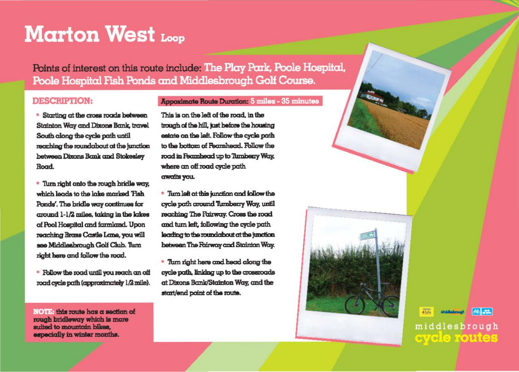## **Marton West Loop**

Points of interest on this route include: The Play Park, Poole Hospital, Poole Hospital Fish Ponds and Middlesbrough Golf Course.

## **DESCRIPTION:**

## **Appoximate Route Duration: 5 miles - 35 minutes**

• Starting at the cross roads between Stainton Way and Dixons Bank, travel South along the cycle path until reaching the roundabout at the junction between Dixons Bank and Stokesley Road.

- Turn right onto the rough bridle way, which leads to the lake marked Tish Ponds'. The bridle way continues for cround 1-1/2 miles, taking in the kakes of Pool Hospital and farmland. Upon reaching Brass Castle Lane, you will see Middleabrough Golf Club. Turn right here and follow the road.
- Follow the road until you reach an off road cycle path (approximately 1/2 mile).

NOTE: this route has a section of rough bridleway which is more suited to mountain bikes. especially in winter months.

This is on the left of the road, in the trough of the hill, just before the housing estate on the left. Follow the cycle path to the bottom of Fearnhead. Follow the road in Feambead up to Tumberry Way. where an off road cycle path crwatts you.

• Turn left at this junction and follow the cycle path around Tumberry Way, until reaching The Fairway. Cross the road and turn left, following the cycle path. leading to the roundabout at the junction between The Fairway and Stainton Way.

• Turn right here and head along the cycle path, linking up to the crossroads at Dixons Bank/Stainton Way, and the start/end point of the route.

 $4\overline{1}$ 



middlesbrough **CAVELE FOUTER**